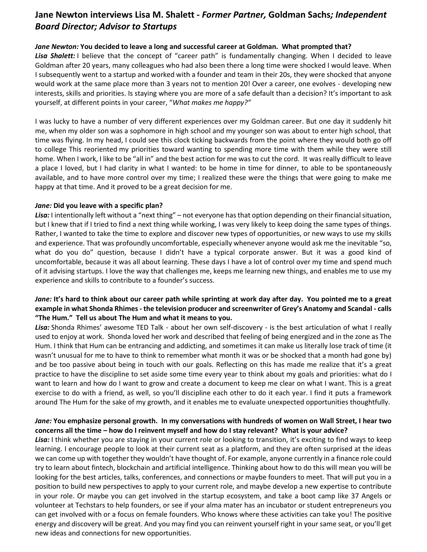# **Jane Newton interviews Lisa M. Shalett -** *Former Partner,* **Goldman Sachs***; Independent Board Director; Advisor to Startups*

#### *Jane Newton:* **You decided to leave a long and successful career at Goldman. What prompted that?**

Lisa Shalett: I believe that the concept of "career path" is fundamentally changing. When I decided to leave Goldman after 20 years, many colleagues who had also been there a long time were shocked I would leave. When I subsequently went to a startup and worked with a founder and team in their 20s, they were shocked that anyone would work at the same place more than 3 years not to mention 20! Over a career, one evolves - developing new interests, skills and priorities. Is staying where you are more of a safe default than a decision? It's important to ask yourself, at different points in your career, "*What makes me happy?"*

I was lucky to have a number of very different experiences over my Goldman career. But one day it suddenly hit me, when my older son was a sophomore in high school and my younger son was about to enter high school, that time was flying. In my head, I could see this clock ticking backwards from the point where they would both go off to college This reoriented my priorities toward wanting to spending more time with them while they were still home. When I work, I like to be "all in" and the best action for me was to cut the cord. It was really difficult to leave a place I loved, but I had clarity in what I wanted: to be home in time for dinner, to able to be spontaneously available, and to have more control over my time; I realized these were the things that were going to make me happy at that time. And it proved to be a great decision for me.

#### *Jane:* **Did you leave with a specific plan?**

*Lisa:* I intentionally left without a "next thing" – not everyone has that option depending on their financial situation, but I knew that if I tried to find a next thing while working, I was very likely to keep doing the same types of things. Rather, I wanted to take the time to explore and discover new types of opportunities, or new ways to use my skills and experience. That was profoundly uncomfortable, especially whenever anyone would ask me the inevitable "so, what do you do" question, because I didn't have a typical corporate answer. But it was a good kind of uncomfortable, because it was all about learning. These days I have a lot of control over my time and spend much of it advising startups. I love the way that challenges me, keeps me learning new things, and enables me to use my experience and skills to contribute to a founder's success.

# *Jane:* **It's hard to think about our career path while sprinting at work day after day. You pointed me to a great example in what Shonda Rhimes - the television producer and screenwriter of Grey's Anatomy and Scandal - calls "The Hum." Tell us about The Hum and what it means to you.**

*Lisa:* Shonda Rhimes' awesome TED Talk - about her own self-discovery - is the best articulation of what I really used to enjoy at work. Shonda loved her work and described that feeling of being energized and in the zone as The Hum. I think that Hum can be entrancing and addicting, and sometimes it can make us literally lose track of time (it wasn't unusual for me to have to think to remember what month it was or be shocked that a month had gone by) and be too passive about being in touch with our goals. Reflecting on this has made me realize that it's a great practice to have the discipline to set aside some time every year to think about my goals and priorities: what do I want to learn and how do I want to grow and create a document to keep me clear on what I want. This is a great exercise to do with a friend, as well, so you'll discipline each other to do it each year. I find it puts a framework around The Hum for the sake of my growth, and it enables me to evaluate unexpected opportunities thoughtfully.

# *Jane:* **You emphasize personal growth. In my conversations with hundreds of women on Wall Street, I hear two concerns all the time – how do I reinvent myself and how do I stay relevant? What is your advice?**

*Lisa:* I think whether you are staying in your current role or looking to transition, it's exciting to find ways to keep learning. I encourage people to look at their current seat as a platform, and they are often surprised at the ideas we can come up with together they wouldn't have thought of. For example, anyone currently in a finance role could try to learn about fintech, blockchain and artificial intelligence. Thinking about how to do this will mean you will be looking for the best articles, talks, conferences, and connections or maybe founders to meet. That will put you in a position to build new perspectives to apply to your current role, and maybe develop a new expertise to contribute in your role. Or maybe you can get involved in the startup ecosystem, and take a boot camp like 37 Angels or volunteer at Techstars to help founders, or see if your alma mater has an incubator or student entrepreneurs you can get involved with or a focus on female founders. Who knows where these activities can take you! The positive energy and discovery will be great. And you may find you can reinvent yourself right in your same seat, or you'll get new ideas and connections for new opportunities.